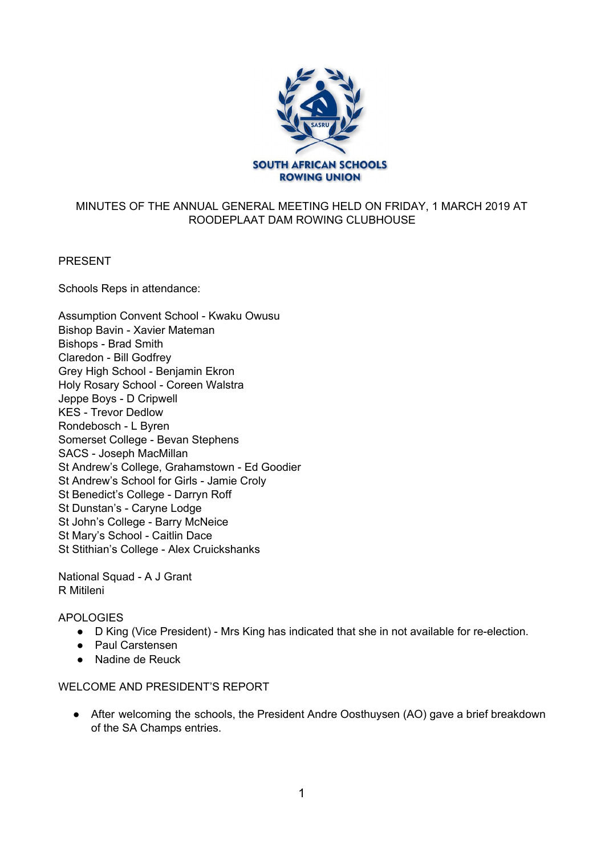

# MINUTES OF THE ANNUAL GENERAL MEETING HELD ON FRIDAY, 1 MARCH 2019 AT ROODEPLAAT DAM ROWING CLUBHOUSE

### PRESENT

Schools Reps in attendance:

| Assumption Convent School - Kwaku Owusu<br>Bishop Bavin - Xavier Mateman<br><b>Bishops - Brad Smith</b> |
|---------------------------------------------------------------------------------------------------------|
| Claredon - Bill Godfrey                                                                                 |
| Grey High School - Benjamin Ekron                                                                       |
| Holy Rosary School - Coreen Walstra                                                                     |
| Jeppe Boys - D Cripwell                                                                                 |
| <b>KES - Trevor Dedlow</b>                                                                              |
| Rondebosch - L Byren                                                                                    |
| Somerset College - Bevan Stephens                                                                       |
| SACS - Joseph MacMillan                                                                                 |
| St Andrew's College, Grahamstown - Ed Goodier                                                           |
| St Andrew's School for Girls - Jamie Croly                                                              |
| St Benedict's College - Darryn Roff                                                                     |
| St Dunstan's - Caryne Lodge                                                                             |
| St John's College - Barry McNeice                                                                       |
| St Mary's School - Caitlin Dace                                                                         |
| St Stithian's College - Alex Cruickshanks                                                               |
|                                                                                                         |

National Squad - A J Grant R Mitileni

APOLOGIES

- D King (Vice President) Mrs King has indicated that she in not available for re-election.
- Paul Carstensen
- Nadine de Reuck

### WELCOME AND PRESIDENT'S REPORT

● After welcoming the schools, the President Andre Oosthuysen (AO) gave a brief breakdown of the SA Champs entries.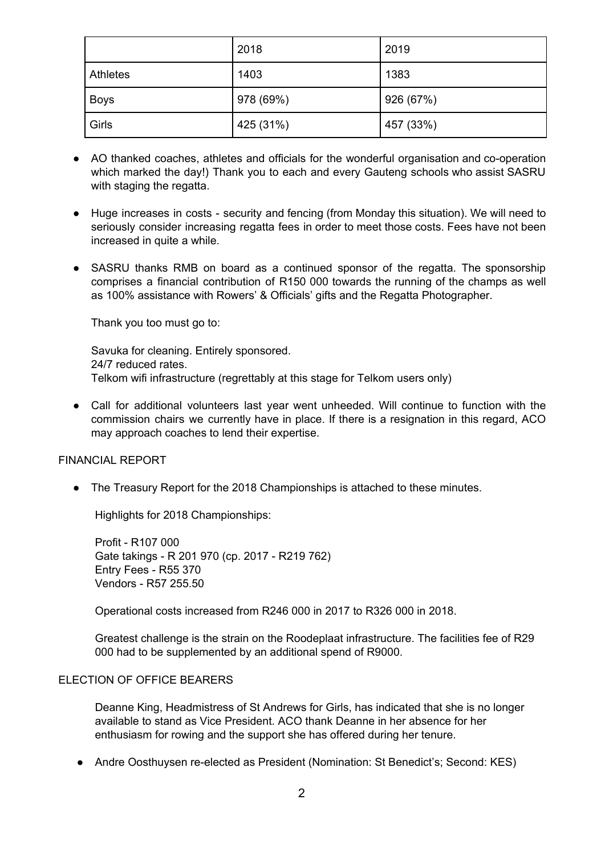|             | 2018      | 2019      |
|-------------|-----------|-----------|
| Athletes    | 1403      | 1383      |
| <b>Boys</b> | 978 (69%) | 926 (67%) |
| Girls       | 425 (31%) | 457 (33%) |

- AO thanked coaches, athletes and officials for the wonderful organisation and co-operation which marked the day!) Thank you to each and every Gauteng schools who assist SASRU with staging the regatta.
- Huge increases in costs security and fencing (from Monday this situation). We will need to seriously consider increasing regatta fees in order to meet those costs. Fees have not been increased in quite a while.
- SASRU thanks RMB on board as a continued sponsor of the regatta. The sponsorship comprises a financial contribution of R150 000 towards the running of the champs as well as 100% assistance with Rowers' & Officials' gifts and the Regatta Photographer.

Thank you too must go to:

Savuka for cleaning. Entirely sponsored. 24/7 reduced rates. Telkom wifi infrastructure (regrettably at this stage for Telkom users only)

• Call for additional volunteers last year went unheeded. Will continue to function with the commission chairs we currently have in place. If there is a resignation in this regard, ACO may approach coaches to lend their expertise.

### FINANCIAL REPORT

● The Treasury Report for the 2018 Championships is attached to these minutes.

Highlights for 2018 Championships:

Profit - R107 000 Gate takings - R 201 970 (cp. 2017 - R219 762) Entry Fees - R55 370 Vendors - R57 255.50

Operational costs increased from R246 000 in 2017 to R326 000 in 2018.

Greatest challenge is the strain on the Roodeplaat infrastructure. The facilities fee of R29 000 had to be supplemented by an additional spend of R9000.

#### ELECTION OF OFFICE BEARERS

Deanne King, Headmistress of St Andrews for Girls, has indicated that she is no longer available to stand as Vice President. ACO thank Deanne in her absence for her enthusiasm for rowing and the support she has offered during her tenure.

• Andre Oosthuysen re-elected as President (Nomination: St Benedict's; Second: KES)